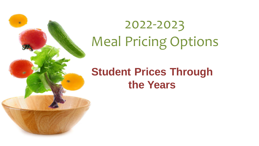

# 2022-2023 Meal Pricing Options

#### **Student Prices Through the Years**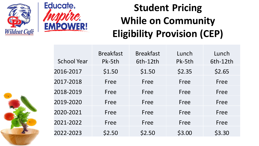![](_page_1_Picture_0.jpeg)

![](_page_1_Picture_1.jpeg)

# **Student Pricing While on Community Eligibility Provision (CEP)**

|                    | <b>Breakfast</b> | <b>Breakfast</b> | Lunch  | Lunch    |
|--------------------|------------------|------------------|--------|----------|
| <b>School Year</b> | Pk-5th           | 6th-12th         | Pk-5th | 6th-12th |
| 2016-2017          | \$1.50           | \$1.50           | \$2.35 | \$2.65   |
| 2017-2018          | Free             | Free             | Free   | Free     |
| 2018-2019          | Free             | Free             | Free   | Free     |
| 2019-2020          | Free             | Free             | Free   | Free     |
| 2020-2021          | Free             | Free             | Free   | Free     |
| 2021-2022          | Free             | Free             | Free   | Free     |
| 2022-2023          | \$2.50           | \$2.50           | \$3.00 | \$3.30   |

![](_page_1_Picture_4.jpeg)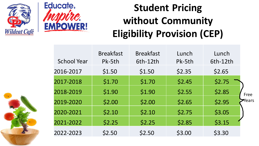![](_page_2_Picture_0.jpeg)

![](_page_2_Picture_1.jpeg)

# **Student Pricing without Community Eligibility Provision (CEP)**

|                    | <b>Breakfast</b> | <b>Breakfast</b> | Lunch  | Lunch    |       |
|--------------------|------------------|------------------|--------|----------|-------|
| <b>School Year</b> | Pk-5th           | 6th-12th         | Pk-5th | 6th-12th |       |
| 2016-2017          | \$1.50           | \$1.50           | \$2.35 | \$2.65   |       |
| 2017-2018          | \$1.70           | \$1.70           | \$2.45 | \$2.75   |       |
| 2018-2019          | \$1.90           | \$1.90           | \$2.55 | \$2.85   | Free  |
| 2019-2020          | \$2.00           | \$2.00           | \$2.65 | \$2.95   | Years |
| 2020-2021          | \$2.10           | \$2.10           | \$2.75 | \$3.05   |       |
| 2021-2022          | \$2.25           | \$2.25           | \$2.85 | \$3.15   |       |
| 2022-2023          | \$2.50           | \$2.50           | \$3.00 | \$3.30   |       |

![](_page_2_Picture_4.jpeg)